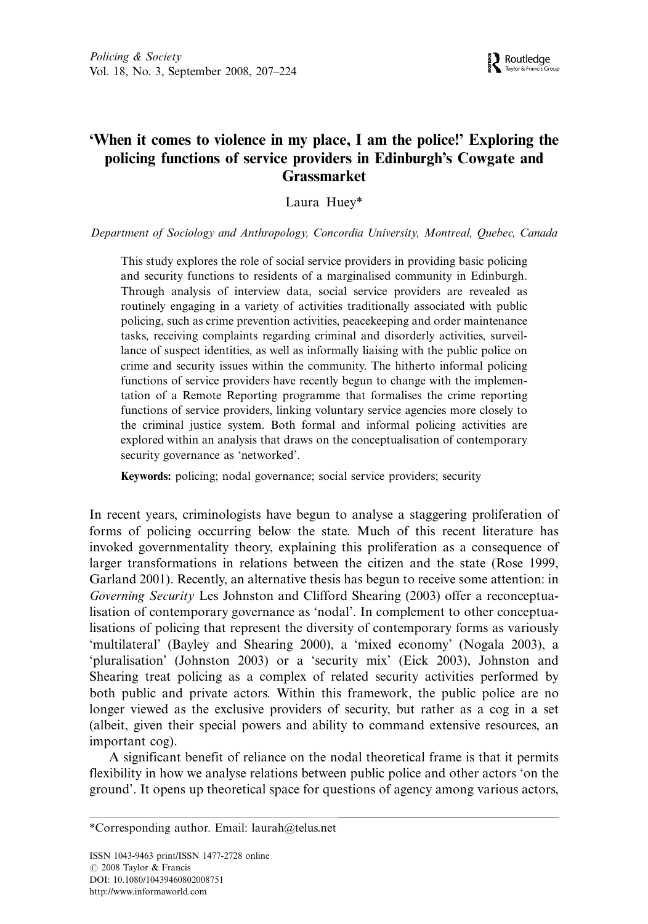# 'When it comes to violence in my place, I am the police!' Exploring the policing functions of service providers in Edinburgh's Cowgate and Grassmarket

Laura Huey\*

Department of Sociology and Anthropology, Concordia University, Montreal, Quebec, Canada

This study explores the role of social service providers in providing basic policing and security functions to residents of a marginalised community in Edinburgh. Through analysis of interview data, social service providers are revealed as routinely engaging in a variety of activities traditionally associated with public policing, such as crime prevention activities, peacekeeping and order maintenance tasks, receiving complaints regarding criminal and disorderly activities, surveillance of suspect identities, as well as informally liaising with the public police on crime and security issues within the community. The hitherto informal policing functions of service providers have recently begun to change with the implementation of a Remote Reporting programme that formalises the crime reporting functions of service providers, linking voluntary service agencies more closely to the criminal justice system. Both formal and informal policing activities are explored within an analysis that draws on the conceptualisation of contemporary security governance as 'networked'.

Keywords: policing; nodal governance; social service providers; security

In recent years, criminologists have begun to analyse a staggering proliferation of forms of policing occurring below the state. Much of this recent literature has invoked governmentality theory, explaining this proliferation as a consequence of larger transformations in relations between the citizen and the state (Rose 1999, Garland 2001). Recently, an alternative thesis has begun to receive some attention: in Governing Security Les Johnston and Clifford Shearing (2003) offer a reconceptualisation of contemporary governance as 'nodal'. In complement to other conceptualisations of policing that represent the diversity of contemporary forms as variously 'multilateral' (Bayley and Shearing 2000), a 'mixed economy' (Nogala 2003), a 'pluralisation' (Johnston 2003) or a 'security mix' (Eick 2003), Johnston and Shearing treat policing as a complex of related security activities performed by both public and private actors. Within this framework, the public police are no longer viewed as the exclusive providers of security, but rather as a cog in a set (albeit, given their special powers and ability to command extensive resources, an important cog).

A significant benefit of reliance on the nodal theoretical frame is that it permits flexibility in how we analyse relations between public police and other actors 'on the ground'. It opens up theoretical space for questions of agency among various actors,

<sup>\*</sup>Corresponding author. Email: laurah@telus.net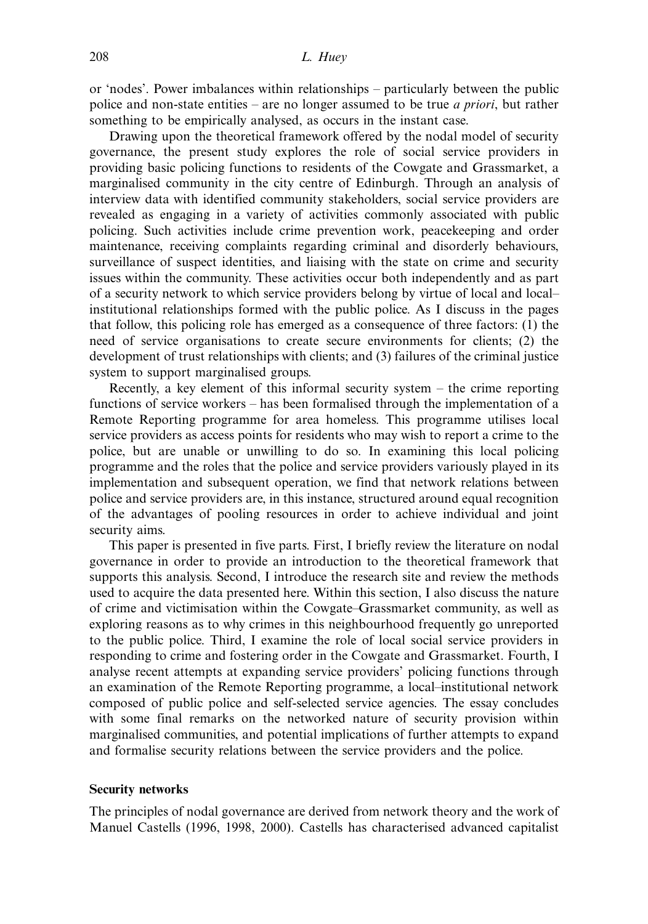or 'nodes'. Power imbalances within relationships particularly between the public police and non-state entities – are no longer assumed to be true *a priori*, but rather something to be empirically analysed, as occurs in the instant case.

Drawing upon the theoretical framework offered by the nodal model of security governance, the present study explores the role of social service providers in providing basic policing functions to residents of the Cowgate and Grassmarket, a marginalised community in the city centre of Edinburgh. Through an analysis of interview data with identified community stakeholders, social service providers are revealed as engaging in a variety of activities commonly associated with public policing. Such activities include crime prevention work, peacekeeping and order maintenance, receiving complaints regarding criminal and disorderly behaviours, surveillance of suspect identities, and liaising with the state on crime and security issues within the community. These activities occur both independently and as part of a security network to which service providers belong by virtue of local and local institutional relationships formed with the public police. As I discuss in the pages that follow, this policing role has emerged as a consequence of three factors: (1) the need of service organisations to create secure environments for clients; (2) the development of trust relationships with clients; and (3) failures of the criminal justice system to support marginalised groups.

Recently, a key element of this informal security system  $-$  the crime reporting functions of service workers – has been formalised through the implementation of a Remote Reporting programme for area homeless. This programme utilises local service providers as access points for residents who may wish to report a crime to the police, but are unable or unwilling to do so. In examining this local policing programme and the roles that the police and service providers variously played in its implementation and subsequent operation, we find that network relations between police and service providers are, in this instance, structured around equal recognition of the advantages of pooling resources in order to achieve individual and joint security aims.

This paper is presented in five parts. First, I briefly review the literature on nodal governance in order to provide an introduction to the theoretical framework that supports this analysis. Second, I introduce the research site and review the methods used to acquire the data presented here. Within this section, I also discuss the nature of crime and victimisation within the CowgateGrassmarket community, as well as exploring reasons as to why crimes in this neighbourhood frequently go unreported to the public police. Third, I examine the role of local social service providers in responding to crime and fostering order in the Cowgate and Grassmarket. Fourth, I analyse recent attempts at expanding service providers' policing functions through an examination of the Remote Reporting programme, a local-institutional network composed of public police and self-selected service agencies. The essay concludes with some final remarks on the networked nature of security provision within marginalised communities, and potential implications of further attempts to expand and formalise security relations between the service providers and the police.

### Security networks

The principles of nodal governance are derived from network theory and the work of Manuel Castells (1996, 1998, 2000). Castells has characterised advanced capitalist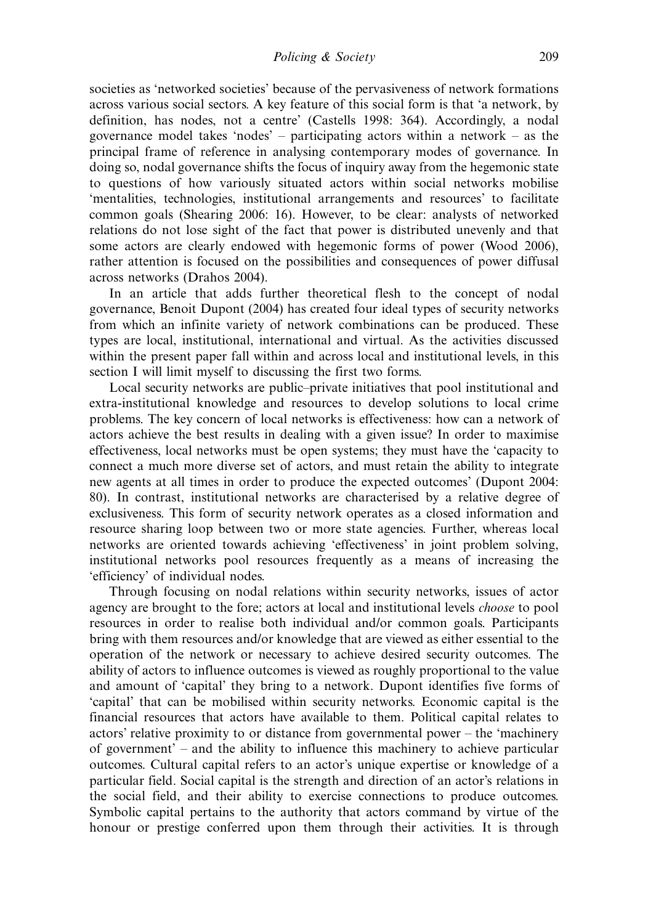societies as 'networked societies' because of the pervasiveness of network formations across various social sectors. A key feature of this social form is that 'a network, by definition, has nodes, not a centre' (Castells 1998: 364). Accordingly, a nodal governance model takes 'nodes'  $-$  participating actors within a network  $-$  as the principal frame of reference in analysing contemporary modes of governance. In doing so, nodal governance shifts the focus of inquiry away from the hegemonic state to questions of how variously situated actors within social networks mobilise 'mentalities, technologies, institutional arrangements and resources' to facilitate common goals (Shearing 2006: 16). However, to be clear: analysts of networked relations do not lose sight of the fact that power is distributed unevenly and that some actors are clearly endowed with hegemonic forms of power (Wood 2006), rather attention is focused on the possibilities and consequences of power diffusal across networks (Drahos 2004).

In an article that adds further theoretical flesh to the concept of nodal governance, Benoit Dupont (2004) has created four ideal types of security networks from which an infinite variety of network combinations can be produced. These types are local, institutional, international and virtual. As the activities discussed within the present paper fall within and across local and institutional levels, in this section I will limit myself to discussing the first two forms.

Local security networks are public-private initiatives that pool institutional and extra-institutional knowledge and resources to develop solutions to local crime problems. The key concern of local networks is effectiveness: how can a network of actors achieve the best results in dealing with a given issue? In order to maximise effectiveness, local networks must be open systems; they must have the 'capacity to connect a much more diverse set of actors, and must retain the ability to integrate new agents at all times in order to produce the expected outcomes' (Dupont 2004: 80). In contrast, institutional networks are characterised by a relative degree of exclusiveness. This form of security network operates as a closed information and resource sharing loop between two or more state agencies. Further, whereas local networks are oriented towards achieving 'effectiveness' in joint problem solving, institutional networks pool resources frequently as a means of increasing the 'efficiency' of individual nodes.

Through focusing on nodal relations within security networks, issues of actor agency are brought to the fore; actors at local and institutional levels choose to pool resources in order to realise both individual and/or common goals. Participants bring with them resources and/or knowledge that are viewed as either essential to the operation of the network or necessary to achieve desired security outcomes. The ability of actors to influence outcomes is viewed as roughly proportional to the value and amount of 'capital' they bring to a network. Dupont identifies five forms of 'capital' that can be mobilised within security networks. Economic capital is the financial resources that actors have available to them. Political capital relates to actors' relative proximity to or distance from governmental power – the 'machinery of government' and the ability to influence this machinery to achieve particular outcomes. Cultural capital refers to an actor's unique expertise or knowledge of a particular field. Social capital is the strength and direction of an actor's relations in the social field, and their ability to exercise connections to produce outcomes. Symbolic capital pertains to the authority that actors command by virtue of the honour or prestige conferred upon them through their activities. It is through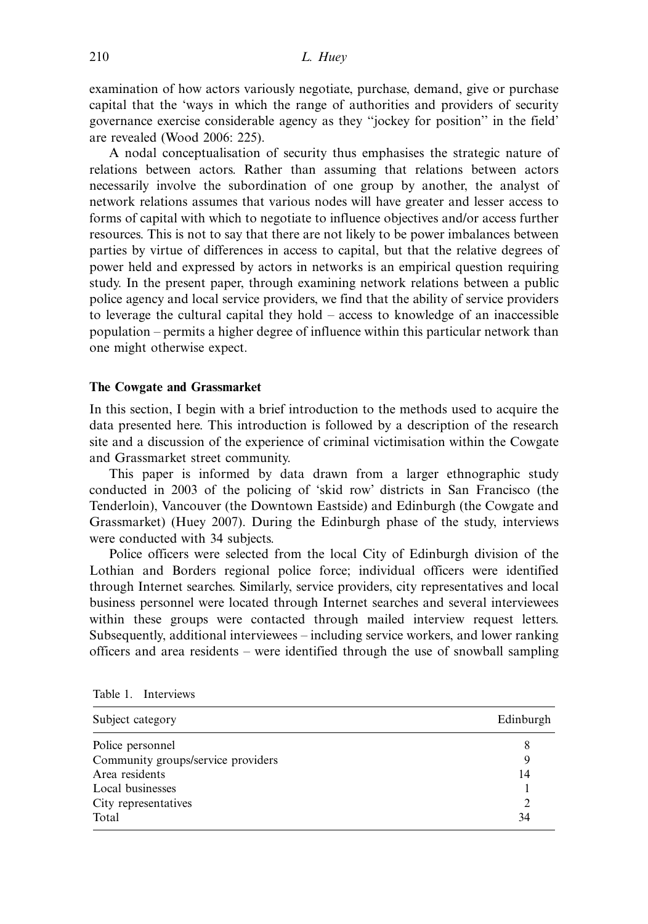examination of how actors variously negotiate, purchase, demand, give or purchase capital that the 'ways in which the range of authorities and providers of security governance exercise considerable agency as they ''jockey for position'' in the field' are revealed (Wood 2006: 225).

A nodal conceptualisation of security thus emphasises the strategic nature of relations between actors. Rather than assuming that relations between actors necessarily involve the subordination of one group by another, the analyst of network relations assumes that various nodes will have greater and lesser access to forms of capital with which to negotiate to influence objectives and/or access further resources. This is not to say that there are not likely to be power imbalances between parties by virtue of differences in access to capital, but that the relative degrees of power held and expressed by actors in networks is an empirical question requiring study. In the present paper, through examining network relations between a public police agency and local service providers, we find that the ability of service providers to leverage the cultural capital they hold  $-$  access to knowledge of an inaccessible population permits a higher degree of influence within this particular network than one might otherwise expect.

## The Cowgate and Grassmarket

In this section, I begin with a brief introduction to the methods used to acquire the data presented here. This introduction is followed by a description of the research site and a discussion of the experience of criminal victimisation within the Cowgate and Grassmarket street community.

This paper is informed by data drawn from a larger ethnographic study conducted in 2003 of the policing of 'skid row' districts in San Francisco (the Tenderloin), Vancouver (the Downtown Eastside) and Edinburgh (the Cowgate and Grassmarket) (Huey 2007). During the Edinburgh phase of the study, interviews were conducted with 34 subjects.

Police officers were selected from the local City of Edinburgh division of the Lothian and Borders regional police force; individual officers were identified through Internet searches. Similarly, service providers, city representatives and local business personnel were located through Internet searches and several interviewees within these groups were contacted through mailed interview request letters. Subsequently, additional interviewees – including service workers, and lower ranking officers and area residents – were identified through the use of snowball sampling

| Subject category                   | Edinburgh |
|------------------------------------|-----------|
| Police personnel                   | 8         |
| Community groups/service providers | 9         |
| Area residents                     | 14        |
| Local businesses                   |           |
| City representatives               |           |
| Total                              | 34        |

Table 1. Interviews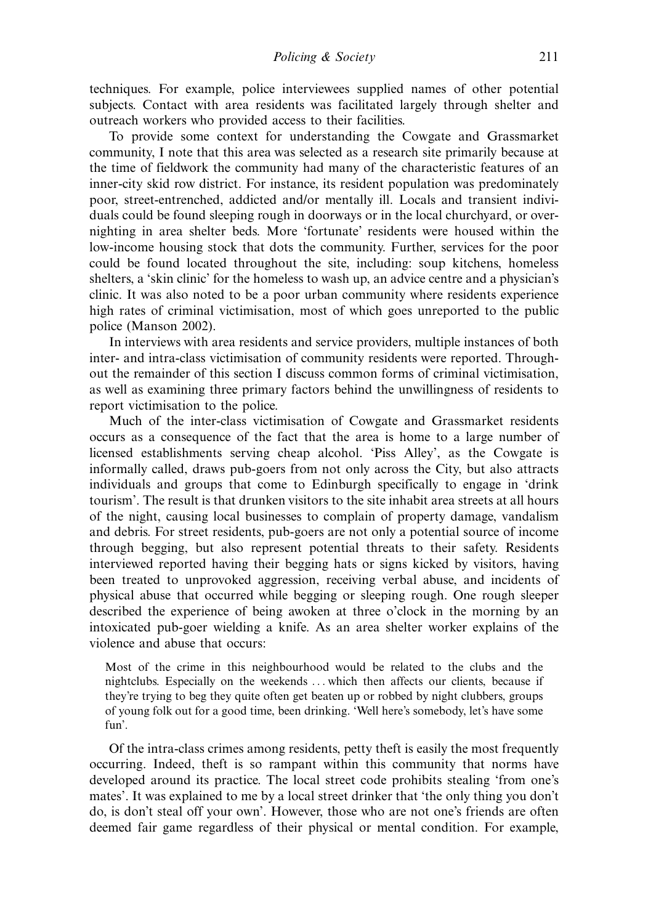techniques. For example, police interviewees supplied names of other potential subjects. Contact with area residents was facilitated largely through shelter and outreach workers who provided access to their facilities.

To provide some context for understanding the Cowgate and Grassmarket community, I note that this area was selected as a research site primarily because at the time of fieldwork the community had many of the characteristic features of an inner-city skid row district. For instance, its resident population was predominately poor, street-entrenched, addicted and/or mentally ill. Locals and transient individuals could be found sleeping rough in doorways or in the local churchyard, or overnighting in area shelter beds. More 'fortunate' residents were housed within the low-income housing stock that dots the community. Further, services for the poor could be found located throughout the site, including: soup kitchens, homeless shelters, a 'skin clinic' for the homeless to wash up, an advice centre and a physician's clinic. It was also noted to be a poor urban community where residents experience high rates of criminal victimisation, most of which goes unreported to the public police (Manson 2002).

In interviews with area residents and service providers, multiple instances of both inter- and intra-class victimisation of community residents were reported. Throughout the remainder of this section I discuss common forms of criminal victimisation, as well as examining three primary factors behind the unwillingness of residents to report victimisation to the police.

Much of the inter-class victimisation of Cowgate and Grassmarket residents occurs as a consequence of the fact that the area is home to a large number of licensed establishments serving cheap alcohol. 'Piss Alley', as the Cowgate is informally called, draws pub-goers from not only across the City, but also attracts individuals and groups that come to Edinburgh specifically to engage in 'drink tourism'. The result is that drunken visitors to the site inhabit area streets at all hours of the night, causing local businesses to complain of property damage, vandalism and debris. For street residents, pub-goers are not only a potential source of income through begging, but also represent potential threats to their safety. Residents interviewed reported having their begging hats or signs kicked by visitors, having been treated to unprovoked aggression, receiving verbal abuse, and incidents of physical abuse that occurred while begging or sleeping rough. One rough sleeper described the experience of being awoken at three o'clock in the morning by an intoxicated pub-goer wielding a knife. As an area shelter worker explains of the violence and abuse that occurs:

Most of the crime in this neighbourhood would be related to the clubs and the nightclubs. Especially on the weekends ... which then affects our clients, because if they're trying to beg they quite often get beaten up or robbed by night clubbers, groups of young folk out for a good time, been drinking. 'Well here's somebody, let's have some fun'.

Of the intra-class crimes among residents, petty theft is easily the most frequently occurring. Indeed, theft is so rampant within this community that norms have developed around its practice. The local street code prohibits stealing 'from one's mates'. It was explained to me by a local street drinker that 'the only thing you don't do, is don't steal off your own'. However, those who are not one's friends are often deemed fair game regardless of their physical or mental condition. For example,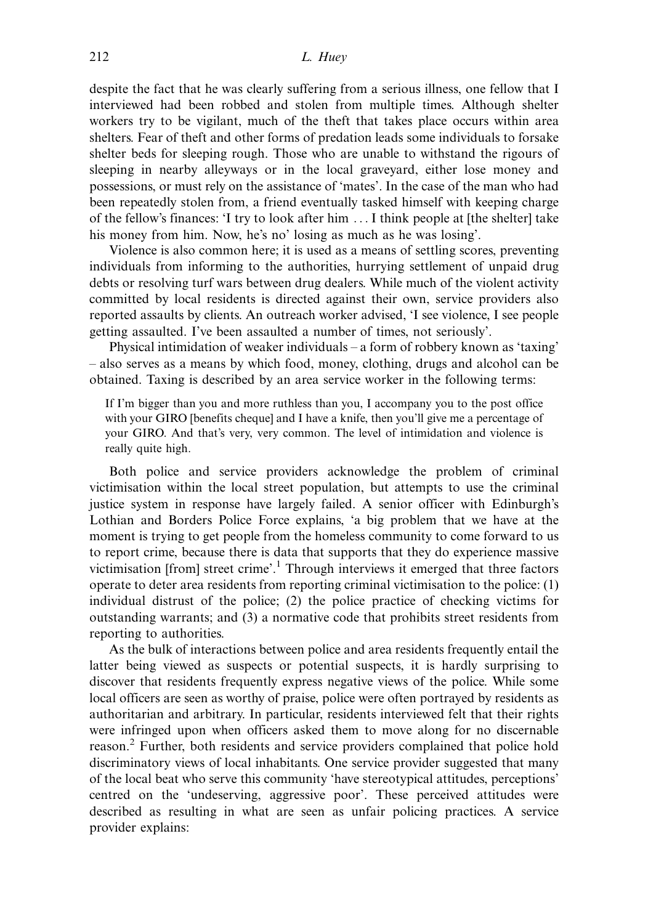despite the fact that he was clearly suffering from a serious illness, one fellow that I interviewed had been robbed and stolen from multiple times. Although shelter workers try to be vigilant, much of the theft that takes place occurs within area shelters. Fear of theft and other forms of predation leads some individuals to forsake shelter beds for sleeping rough. Those who are unable to withstand the rigours of sleeping in nearby alleyways or in the local graveyard, either lose money and possessions, or must rely on the assistance of 'mates'. In the case of the man who had been repeatedly stolen from, a friend eventually tasked himself with keeping charge of the fellow's finances: 'I try to look after him ... I think people at [the shelter] take his money from him. Now, he's no' losing as much as he was losing'.

Violence is also common here; it is used as a means of settling scores, preventing individuals from informing to the authorities, hurrying settlement of unpaid drug debts or resolving turf wars between drug dealers. While much of the violent activity committed by local residents is directed against their own, service providers also reported assaults by clients. An outreach worker advised, 'I see violence, I see people getting assaulted. I've been assaulted a number of times, not seriously'.

Physical intimidation of weaker individuals a form of robbery known as 'taxing' - also serves as a means by which food, money, clothing, drugs and alcohol can be obtained. Taxing is described by an area service worker in the following terms:

If I'm bigger than you and more ruthless than you, I accompany you to the post office with your GIRO [benefits cheque] and I have a knife, then you'll give me a percentage of your GIRO. And that's very, very common. The level of intimidation and violence is really quite high.

Both police and service providers acknowledge the problem of criminal victimisation within the local street population, but attempts to use the criminal justice system in response have largely failed. A senior officer with Edinburgh's Lothian and Borders Police Force explains, 'a big problem that we have at the moment is trying to get people from the homeless community to come forward to us to report crime, because there is data that supports that they do experience massive victimisation [from] street crime'.<sup>1</sup> Through interviews it emerged that three factors operate to deter area residents from reporting criminal victimisation to the police: (1) individual distrust of the police; (2) the police practice of checking victims for outstanding warrants; and (3) a normative code that prohibits street residents from reporting to authorities.

As the bulk of interactions between police and area residents frequently entail the latter being viewed as suspects or potential suspects, it is hardly surprising to discover that residents frequently express negative views of the police. While some local officers are seen as worthy of praise, police were often portrayed by residents as authoritarian and arbitrary. In particular, residents interviewed felt that their rights were infringed upon when officers asked them to move along for no discernable reason.<sup>2</sup> Further, both residents and service providers complained that police hold discriminatory views of local inhabitants. One service provider suggested that many of the local beat who serve this community 'have stereotypical attitudes, perceptions' centred on the 'undeserving, aggressive poor'. These perceived attitudes were described as resulting in what are seen as unfair policing practices. A service provider explains: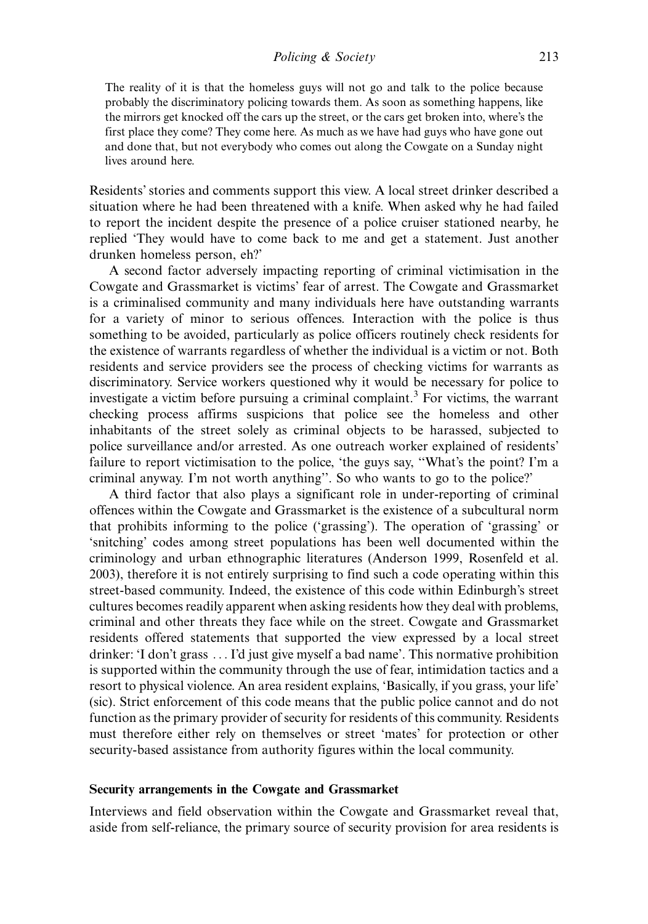The reality of it is that the homeless guys will not go and talk to the police because probably the discriminatory policing towards them. As soon as something happens, like the mirrors get knocked off the cars up the street, or the cars get broken into, where's the first place they come? They come here. As much as we have had guys who have gone out and done that, but not everybody who comes out along the Cowgate on a Sunday night lives around here.

Residents' stories and comments support this view. A local street drinker described a situation where he had been threatened with a knife. When asked why he had failed to report the incident despite the presence of a police cruiser stationed nearby, he replied 'They would have to come back to me and get a statement. Just another drunken homeless person, eh?'

A second factor adversely impacting reporting of criminal victimisation in the Cowgate and Grassmarket is victims' fear of arrest. The Cowgate and Grassmarket is a criminalised community and many individuals here have outstanding warrants for a variety of minor to serious offences. Interaction with the police is thus something to be avoided, particularly as police officers routinely check residents for the existence of warrants regardless of whether the individual is a victim or not. Both residents and service providers see the process of checking victims for warrants as discriminatory. Service workers questioned why it would be necessary for police to investigate a victim before pursuing a criminal complaint.<sup>3</sup> For victims, the warrant checking process affirms suspicions that police see the homeless and other inhabitants of the street solely as criminal objects to be harassed, subjected to police surveillance and/or arrested. As one outreach worker explained of residents' failure to report victimisation to the police, 'the guys say, ''What's the point? I'm a criminal anyway. I'm not worth anything''. So who wants to go to the police?'

A third factor that also plays a significant role in under-reporting of criminal offences within the Cowgate and Grassmarket is the existence of a subcultural norm that prohibits informing to the police ('grassing'). The operation of 'grassing' or 'snitching' codes among street populations has been well documented within the criminology and urban ethnographic literatures (Anderson 1999, Rosenfeld et al. 2003), therefore it is not entirely surprising to find such a code operating within this street-based community. Indeed, the existence of this code within Edinburgh's street cultures becomes readily apparent when asking residents how they deal with problems, criminal and other threats they face while on the street. Cowgate and Grassmarket residents offered statements that supported the view expressed by a local street drinker: 'I don't grass ... I'd just give myself a bad name'. This normative prohibition is supported within the community through the use of fear, intimidation tactics and a resort to physical violence. An area resident explains, 'Basically, if you grass, your life' (sic). Strict enforcement of this code means that the public police cannot and do not function as the primary provider of security for residents of this community. Residents must therefore either rely on themselves or street 'mates' for protection or other security-based assistance from authority figures within the local community.

## Security arrangements in the Cowgate and Grassmarket

Interviews and field observation within the Cowgate and Grassmarket reveal that, aside from self-reliance, the primary source of security provision for area residents is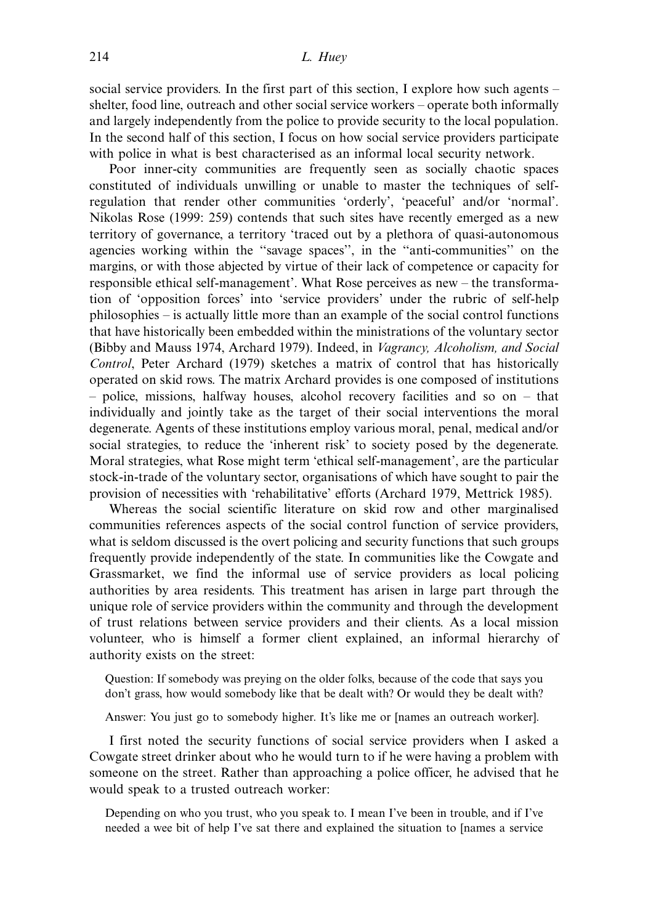social service providers. In the first part of this section, I explore how such agents – shelter, food line, outreach and other social service workers – operate both informally and largely independently from the police to provide security to the local population. In the second half of this section, I focus on how social service providers participate with police in what is best characterised as an informal local security network.

Poor inner-city communities are frequently seen as socially chaotic spaces constituted of individuals unwilling or unable to master the techniques of selfregulation that render other communities 'orderly', 'peaceful' and/or 'normal'. Nikolas Rose (1999: 259) contends that such sites have recently emerged as a new territory of governance, a territory 'traced out by a plethora of quasi-autonomous agencies working within the ''savage spaces'', in the ''anti-communities'' on the margins, or with those abjected by virtue of their lack of competence or capacity for responsible ethical self-management'. What Rose perceives as new the transformation of 'opposition forces' into 'service providers' under the rubric of self-help  $philosophies - is actually little more than an example of the social control functions$ that have historically been embedded within the ministrations of the voluntary sector (Bibby and Mauss 1974, Archard 1979). Indeed, in Vagrancy, Alcoholism, and Social Control, Peter Archard (1979) sketches a matrix of control that has historically operated on skid rows. The matrix Archard provides is one composed of institutions  $-$  police, missions, halfway houses, alcohol recovery facilities and so on  $-$  that individually and jointly take as the target of their social interventions the moral degenerate. Agents of these institutions employ various moral, penal, medical and/or social strategies, to reduce the 'inherent risk' to society posed by the degenerate. Moral strategies, what Rose might term 'ethical self-management', are the particular stock-in-trade of the voluntary sector, organisations of which have sought to pair the provision of necessities with 'rehabilitative' efforts (Archard 1979, Mettrick 1985).

Whereas the social scientific literature on skid row and other marginalised communities references aspects of the social control function of service providers, what is seldom discussed is the overt policing and security functions that such groups frequently provide independently of the state. In communities like the Cowgate and Grassmarket, we find the informal use of service providers as local policing authorities by area residents. This treatment has arisen in large part through the unique role of service providers within the community and through the development of trust relations between service providers and their clients. As a local mission volunteer, who is himself a former client explained, an informal hierarchy of authority exists on the street:

Question: If somebody was preying on the older folks, because of the code that says you don't grass, how would somebody like that be dealt with? Or would they be dealt with?

Answer: You just go to somebody higher. It's like me or [names an outreach worker].

I first noted the security functions of social service providers when I asked a Cowgate street drinker about who he would turn to if he were having a problem with someone on the street. Rather than approaching a police officer, he advised that he would speak to a trusted outreach worker:

Depending on who you trust, who you speak to. I mean I've been in trouble, and if I've needed a wee bit of help I've sat there and explained the situation to [names a service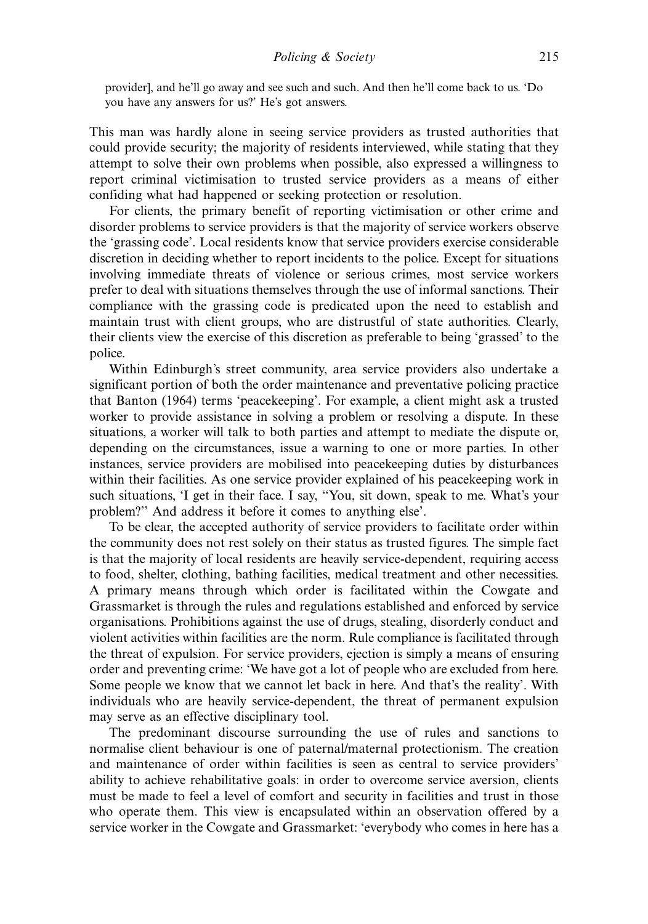provider], and he'll go away and see such and such. And then he'll come back to us. 'Do you have any answers for us?' He's got answers.

This man was hardly alone in seeing service providers as trusted authorities that could provide security; the majority of residents interviewed, while stating that they attempt to solve their own problems when possible, also expressed a willingness to report criminal victimisation to trusted service providers as a means of either confiding what had happened or seeking protection or resolution.

For clients, the primary benefit of reporting victimisation or other crime and disorder problems to service providers is that the majority of service workers observe the 'grassing code'. Local residents know that service providers exercise considerable discretion in deciding whether to report incidents to the police. Except for situations involving immediate threats of violence or serious crimes, most service workers prefer to deal with situations themselves through the use of informal sanctions. Their compliance with the grassing code is predicated upon the need to establish and maintain trust with client groups, who are distrustful of state authorities. Clearly, their clients view the exercise of this discretion as preferable to being 'grassed' to the police.

Within Edinburgh's street community, area service providers also undertake a significant portion of both the order maintenance and preventative policing practice that Banton (1964) terms 'peacekeeping'. For example, a client might ask a trusted worker to provide assistance in solving a problem or resolving a dispute. In these situations, a worker will talk to both parties and attempt to mediate the dispute or, depending on the circumstances, issue a warning to one or more parties. In other instances, service providers are mobilised into peacekeeping duties by disturbances within their facilities. As one service provider explained of his peacekeeping work in such situations, 'I get in their face. I say, ''You, sit down, speak to me. What's your problem?'' And address it before it comes to anything else'.

To be clear, the accepted authority of service providers to facilitate order within the community does not rest solely on their status as trusted figures. The simple fact is that the majority of local residents are heavily service-dependent, requiring access to food, shelter, clothing, bathing facilities, medical treatment and other necessities. A primary means through which order is facilitated within the Cowgate and Grassmarket is through the rules and regulations established and enforced by service organisations. Prohibitions against the use of drugs, stealing, disorderly conduct and violent activities within facilities are the norm. Rule compliance is facilitated through the threat of expulsion. For service providers, ejection is simply a means of ensuring order and preventing crime: 'We have got a lot of people who are excluded from here. Some people we know that we cannot let back in here. And that's the reality'. With individuals who are heavily service-dependent, the threat of permanent expulsion may serve as an effective disciplinary tool.

The predominant discourse surrounding the use of rules and sanctions to normalise client behaviour is one of paternal/maternal protectionism. The creation and maintenance of order within facilities is seen as central to service providers' ability to achieve rehabilitative goals: in order to overcome service aversion, clients must be made to feel a level of comfort and security in facilities and trust in those who operate them. This view is encapsulated within an observation offered by a service worker in the Cowgate and Grassmarket: 'everybody who comes in here has a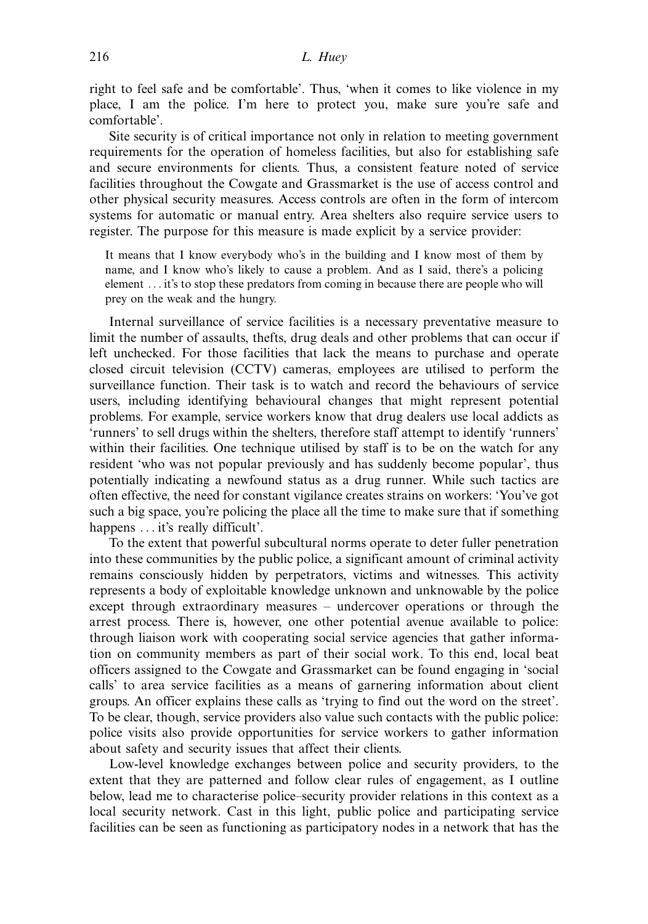right to feel safe and be comfortable'. Thus, 'when it comes to like violence in my place, I am the police. I'm here to protect you, make sure you're safe and comfortable'.

Site security is of critical importance not only in relation to meeting government requirements for the operation of homeless facilities, but also for establishing safe and secure environments for clients. Thus, a consistent feature noted of service facilities throughout the Cowgate and Grassmarket is the use of access control and other physical security measures. Access controls are often in the form of intercom systems for automatic or manual entry. Area shelters also require service users to register. The purpose for this measure is made explicit by a service provider:

It means that I know everybody who's in the building and I know most of them by name, and I know who's likely to cause a problem. And as I said, there's a policing element ... it's to stop these predators from coming in because there are people who will prey on the weak and the hungry.

Internal surveillance of service facilities is a necessary preventative measure to limit the number of assaults, thefts, drug deals and other problems that can occur if left unchecked. For those facilities that lack the means to purchase and operate closed circuit television (CCTV) cameras, employees are utilised to perform the surveillance function. Their task is to watch and record the behaviours of service users, including identifying behavioural changes that might represent potential problems. For example, service workers know that drug dealers use local addicts as 'runners' to sell drugs within the shelters, therefore staff attempt to identify 'runners' within their facilities. One technique utilised by staff is to be on the watch for any resident 'who was not popular previously and has suddenly become popular', thus potentially indicating a newfound status as a drug runner. While such tactics are often effective, the need for constant vigilance creates strains on workers: 'You've got such a big space, you're policing the place all the time to make sure that if something happens ... it's really difficult'.

To the extent that powerful subcultural norms operate to deter fuller penetration into these communities by the public police, a significant amount of criminal activity remains consciously hidden by perpetrators, victims and witnesses. This activity represents a body of exploitable knowledge unknown and unknowable by the police except through extraordinary measures – undercover operations or through the arrest process. There is, however, one other potential avenue available to police: through liaison work with cooperating social service agencies that gather information on community members as part of their social work. To this end, local beat officers assigned to the Cowgate and Grassmarket can be found engaging in 'social calls' to area service facilities as a means of garnering information about client groups. An officer explains these calls as 'trying to find out the word on the street'. To be clear, though, service providers also value such contacts with the public police: police visits also provide opportunities for service workers to gather information about safety and security issues that affect their clients.

Low-level knowledge exchanges between police and security providers, to the extent that they are patterned and follow clear rules of engagement, as I outline below, lead me to characterise police-security provider relations in this context as a local security network. Cast in this light, public police and participating service facilities can be seen as functioning as participatory nodes in a network that has the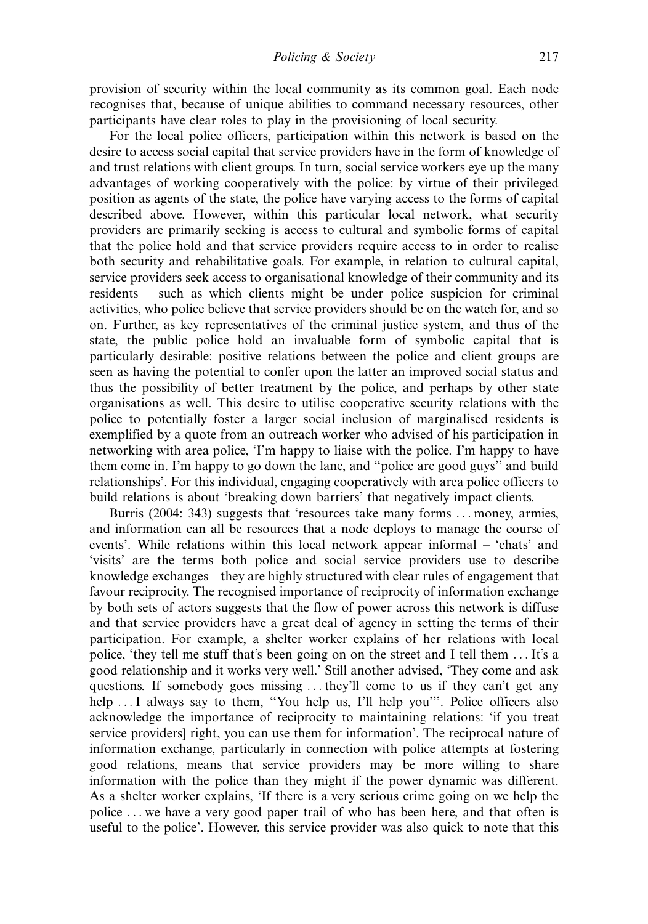provision of security within the local community as its common goal. Each node recognises that, because of unique abilities to command necessary resources, other participants have clear roles to play in the provisioning of local security.

For the local police officers, participation within this network is based on the desire to access social capital that service providers have in the form of knowledge of and trust relations with client groups. In turn, social service workers eye up the many advantages of working cooperatively with the police: by virtue of their privileged position as agents of the state, the police have varying access to the forms of capital described above. However, within this particular local network, what security providers are primarily seeking is access to cultural and symbolic forms of capital that the police hold and that service providers require access to in order to realise both security and rehabilitative goals. For example, in relation to cultural capital, service providers seek access to organisational knowledge of their community and its residents – such as which clients might be under police suspicion for criminal activities, who police believe that service providers should be on the watch for, and so on. Further, as key representatives of the criminal justice system, and thus of the state, the public police hold an invaluable form of symbolic capital that is particularly desirable: positive relations between the police and client groups are seen as having the potential to confer upon the latter an improved social status and thus the possibility of better treatment by the police, and perhaps by other state organisations as well. This desire to utilise cooperative security relations with the police to potentially foster a larger social inclusion of marginalised residents is exemplified by a quote from an outreach worker who advised of his participation in networking with area police, 'I'm happy to liaise with the police. I'm happy to have them come in. I'm happy to go down the lane, and ''police are good guys'' and build relationships'. For this individual, engaging cooperatively with area police officers to build relations is about 'breaking down barriers' that negatively impact clients.

Burris (2004: 343) suggests that 'resources take many forms ... money, armies, and information can all be resources that a node deploys to manage the course of events'. While relations within this local network appear informal – 'chats' and 'visits' are the terms both police and social service providers use to describe knowledge exchanges – they are highly structured with clear rules of engagement that favour reciprocity. The recognised importance of reciprocity of information exchange by both sets of actors suggests that the flow of power across this network is diffuse and that service providers have a great deal of agency in setting the terms of their participation. For example, a shelter worker explains of her relations with local police, 'they tell me stuff that's been going on on the street and I tell them ... It's a good relationship and it works very well.' Still another advised, 'They come and ask questions. If somebody goes missing ... they'll come to us if they can't get any help ... I always say to them, "You help us, I'll help you"'. Police officers also acknowledge the importance of reciprocity to maintaining relations: 'if you treat service providers] right, you can use them for information'. The reciprocal nature of information exchange, particularly in connection with police attempts at fostering good relations, means that service providers may be more willing to share information with the police than they might if the power dynamic was different. As a shelter worker explains, 'If there is a very serious crime going on we help the police ... we have a very good paper trail of who has been here, and that often is useful to the police'. However, this service provider was also quick to note that this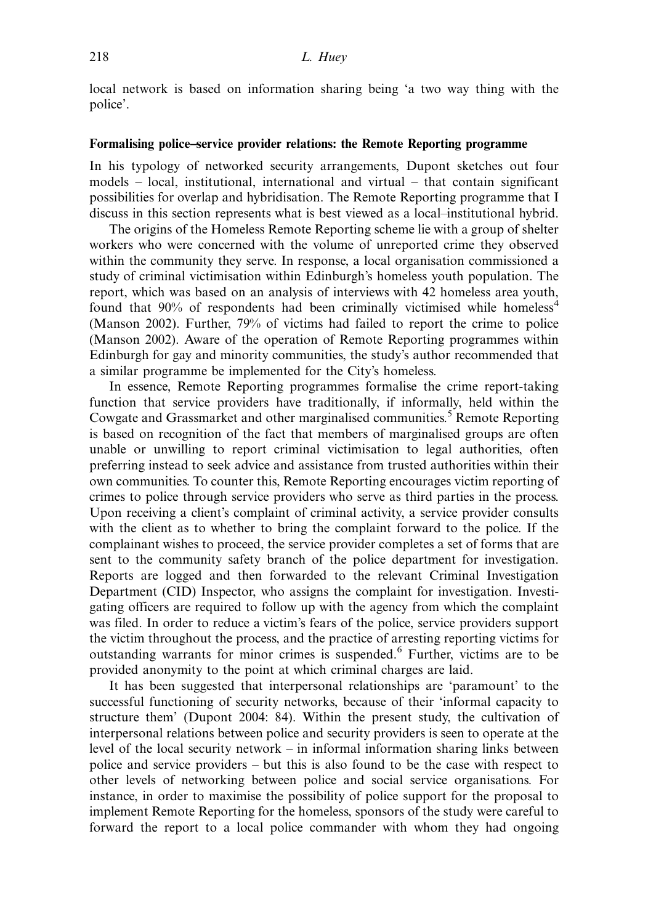local network is based on information sharing being 'a two way thing with the police'.

# Formalising police-service provider relations: the Remote Reporting programme

In his typology of networked security arrangements, Dupont sketches out four models  $-$  local, institutional, international and virtual  $-$  that contain significant possibilities for overlap and hybridisation. The Remote Reporting programme that I discuss in this section represents what is best viewed as a local-institutional hybrid.

The origins of the Homeless Remote Reporting scheme lie with a group of shelter workers who were concerned with the volume of unreported crime they observed within the community they serve. In response, a local organisation commissioned a study of criminal victimisation within Edinburgh's homeless youth population. The report, which was based on an analysis of interviews with 42 homeless area youth, found that  $90\%$  of respondents had been criminally victimised while homeless<sup>4</sup> (Manson 2002). Further, 79% of victims had failed to report the crime to police (Manson 2002). Aware of the operation of Remote Reporting programmes within Edinburgh for gay and minority communities, the study's author recommended that a similar programme be implemented for the City's homeless.

In essence, Remote Reporting programmes formalise the crime report-taking function that service providers have traditionally, if informally, held within the Cowgate and Grassmarket and other marginalised communities.<sup>5</sup> Remote Reporting is based on recognition of the fact that members of marginalised groups are often unable or unwilling to report criminal victimisation to legal authorities, often preferring instead to seek advice and assistance from trusted authorities within their own communities. To counter this, Remote Reporting encourages victim reporting of crimes to police through service providers who serve as third parties in the process. Upon receiving a client's complaint of criminal activity, a service provider consults with the client as to whether to bring the complaint forward to the police. If the complainant wishes to proceed, the service provider completes a set of forms that are sent to the community safety branch of the police department for investigation. Reports are logged and then forwarded to the relevant Criminal Investigation Department (CID) Inspector, who assigns the complaint for investigation. Investigating officers are required to follow up with the agency from which the complaint was filed. In order to reduce a victim's fears of the police, service providers support the victim throughout the process, and the practice of arresting reporting victims for outstanding warrants for minor crimes is suspended.<sup>6</sup> Further, victims are to be provided anonymity to the point at which criminal charges are laid.

It has been suggested that interpersonal relationships are 'paramount' to the successful functioning of security networks, because of their 'informal capacity to structure them' (Dupont 2004: 84). Within the present study, the cultivation of interpersonal relations between police and security providers is seen to operate at the level of the local security network  $-$  in informal information sharing links between police and service providers but this is also found to be the case with respect to other levels of networking between police and social service organisations. For instance, in order to maximise the possibility of police support for the proposal to implement Remote Reporting for the homeless, sponsors of the study were careful to forward the report to a local police commander with whom they had ongoing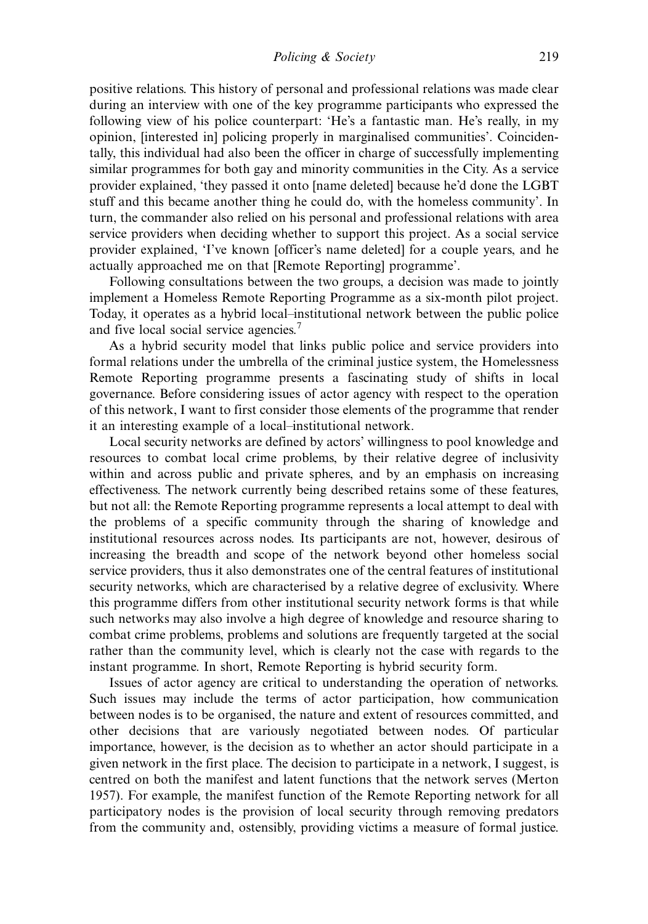positive relations. This history of personal and professional relations was made clear during an interview with one of the key programme participants who expressed the following view of his police counterpart: 'He's a fantastic man. He's really, in my opinion, [interested in] policing properly in marginalised communities'. Coincidentally, this individual had also been the officer in charge of successfully implementing similar programmes for both gay and minority communities in the City. As a service provider explained, 'they passed it onto [name deleted] because he'd done the LGBT stuff and this became another thing he could do, with the homeless community'. In turn, the commander also relied on his personal and professional relations with area service providers when deciding whether to support this project. As a social service provider explained, 'I've known [officer's name deleted] for a couple years, and he actually approached me on that [Remote Reporting] programme'.

Following consultations between the two groups, a decision was made to jointly implement a Homeless Remote Reporting Programme as a six-month pilot project. Today, it operates as a hybrid local-institutional network between the public police and five local social service agencies.<sup>7</sup>

As a hybrid security model that links public police and service providers into formal relations under the umbrella of the criminal justice system, the Homelessness Remote Reporting programme presents a fascinating study of shifts in local governance. Before considering issues of actor agency with respect to the operation of this network, I want to first consider those elements of the programme that render it an interesting example of a local-institutional network.

Local security networks are defined by actors' willingness to pool knowledge and resources to combat local crime problems, by their relative degree of inclusivity within and across public and private spheres, and by an emphasis on increasing effectiveness. The network currently being described retains some of these features, but not all: the Remote Reporting programme represents a local attempt to deal with the problems of a specific community through the sharing of knowledge and institutional resources across nodes. Its participants are not, however, desirous of increasing the breadth and scope of the network beyond other homeless social service providers, thus it also demonstrates one of the central features of institutional security networks, which are characterised by a relative degree of exclusivity. Where this programme differs from other institutional security network forms is that while such networks may also involve a high degree of knowledge and resource sharing to combat crime problems, problems and solutions are frequently targeted at the social rather than the community level, which is clearly not the case with regards to the instant programme. In short, Remote Reporting is hybrid security form.

Issues of actor agency are critical to understanding the operation of networks. Such issues may include the terms of actor participation, how communication between nodes is to be organised, the nature and extent of resources committed, and other decisions that are variously negotiated between nodes. Of particular importance, however, is the decision as to whether an actor should participate in a given network in the first place. The decision to participate in a network, I suggest, is centred on both the manifest and latent functions that the network serves (Merton 1957). For example, the manifest function of the Remote Reporting network for all participatory nodes is the provision of local security through removing predators from the community and, ostensibly, providing victims a measure of formal justice.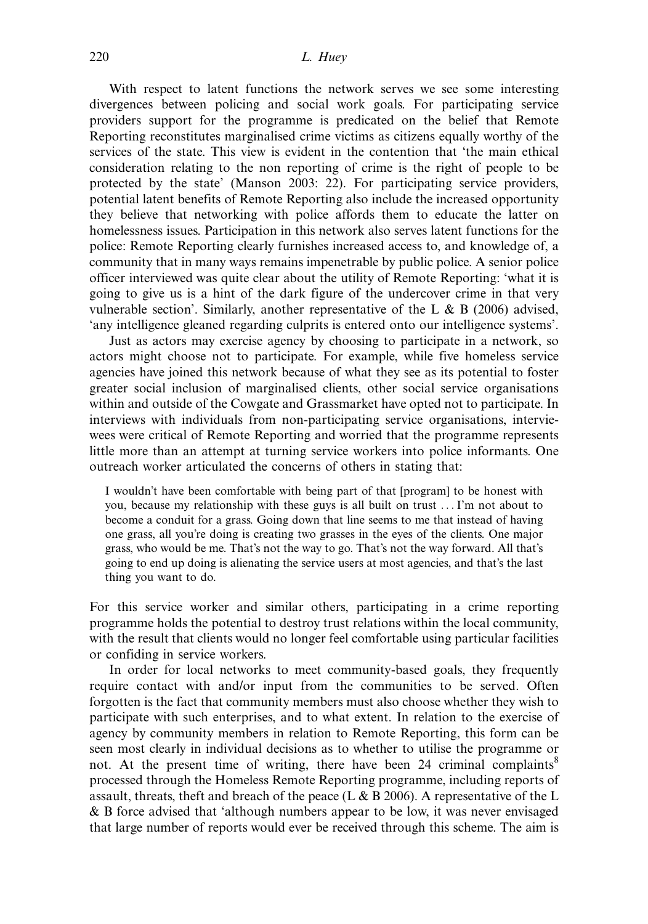With respect to latent functions the network serves we see some interesting divergences between policing and social work goals. For participating service providers support for the programme is predicated on the belief that Remote Reporting reconstitutes marginalised crime victims as citizens equally worthy of the services of the state. This view is evident in the contention that 'the main ethical consideration relating to the non reporting of crime is the right of people to be protected by the state' (Manson 2003: 22). For participating service providers, potential latent benefits of Remote Reporting also include the increased opportunity they believe that networking with police affords them to educate the latter on homelessness issues. Participation in this network also serves latent functions for the police: Remote Reporting clearly furnishes increased access to, and knowledge of, a community that in many ways remains impenetrable by public police. A senior police officer interviewed was quite clear about the utility of Remote Reporting: 'what it is going to give us is a hint of the dark figure of the undercover crime in that very vulnerable section'. Similarly, another representative of the L  $\&$  B (2006) advised, 'any intelligence gleaned regarding culprits is entered onto our intelligence systems'.

Just as actors may exercise agency by choosing to participate in a network, so actors might choose not to participate. For example, while five homeless service agencies have joined this network because of what they see as its potential to foster greater social inclusion of marginalised clients, other social service organisations within and outside of the Cowgate and Grassmarket have opted not to participate. In interviews with individuals from non-participating service organisations, interviewees were critical of Remote Reporting and worried that the programme represents little more than an attempt at turning service workers into police informants. One outreach worker articulated the concerns of others in stating that:

I wouldn't have been comfortable with being part of that [program] to be honest with you, because my relationship with these guys is all built on trust ... I'm not about to become a conduit for a grass. Going down that line seems to me that instead of having one grass, all you're doing is creating two grasses in the eyes of the clients. One major grass, who would be me. That's not the way to go. That's not the way forward. All that's going to end up doing is alienating the service users at most agencies, and that's the last thing you want to do.

For this service worker and similar others, participating in a crime reporting programme holds the potential to destroy trust relations within the local community, with the result that clients would no longer feel comfortable using particular facilities or confiding in service workers.

In order for local networks to meet community-based goals, they frequently require contact with and/or input from the communities to be served. Often forgotten is the fact that community members must also choose whether they wish to participate with such enterprises, and to what extent. In relation to the exercise of agency by community members in relation to Remote Reporting, this form can be seen most clearly in individual decisions as to whether to utilise the programme or not. At the present time of writing, there have been 24 criminal complaints<sup>8</sup> processed through the Homeless Remote Reporting programme, including reports of assault, threats, theft and breach of the peace (L  $\&$  B 2006). A representative of the L & B force advised that 'although numbers appear to be low, it was never envisaged that large number of reports would ever be received through this scheme. The aim is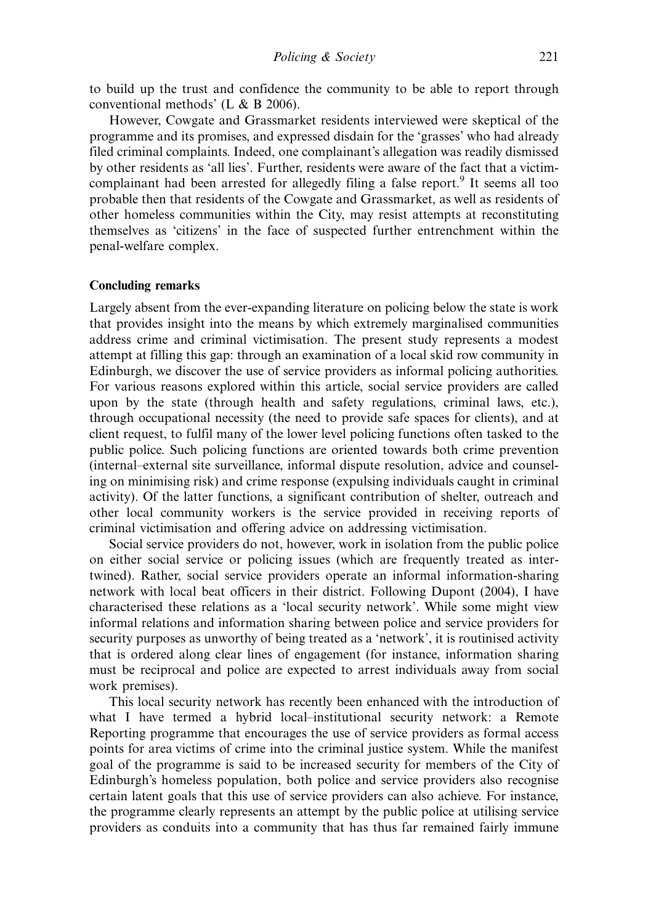to build up the trust and confidence the community to be able to report through conventional methods' (L & B 2006).

However, Cowgate and Grassmarket residents interviewed were skeptical of the programme and its promises, and expressed disdain for the 'grasses' who had already filed criminal complaints. Indeed, one complainant's allegation was readily dismissed by other residents as 'all lies'. Further, residents were aware of the fact that a victimcomplainant had been arrested for allegedly filing a false report.<sup>9</sup> It seems all too probable then that residents of the Cowgate and Grassmarket, as well as residents of other homeless communities within the City, may resist attempts at reconstituting themselves as 'citizens' in the face of suspected further entrenchment within the penal-welfare complex.

### Concluding remarks

Largely absent from the ever-expanding literature on policing below the state is work that provides insight into the means by which extremely marginalised communities address crime and criminal victimisation. The present study represents a modest attempt at filling this gap: through an examination of a local skid row community in Edinburgh, we discover the use of service providers as informal policing authorities. For various reasons explored within this article, social service providers are called upon by the state (through health and safety regulations, criminal laws, etc.), through occupational necessity (the need to provide safe spaces for clients), and at client request, to fulfil many of the lower level policing functions often tasked to the public police. Such policing functions are oriented towards both crime prevention (internal–external site surveillance, informal dispute resolution, advice and counseling on minimising risk) and crime response (expulsing individuals caught in criminal activity). Of the latter functions, a significant contribution of shelter, outreach and other local community workers is the service provided in receiving reports of criminal victimisation and offering advice on addressing victimisation.

Social service providers do not, however, work in isolation from the public police on either social service or policing issues (which are frequently treated as intertwined). Rather, social service providers operate an informal information-sharing network with local beat officers in their district. Following Dupont (2004), I have characterised these relations as a 'local security network'. While some might view informal relations and information sharing between police and service providers for security purposes as unworthy of being treated as a 'network', it is routinised activity that is ordered along clear lines of engagement (for instance, information sharing must be reciprocal and police are expected to arrest individuals away from social work premises).

This local security network has recently been enhanced with the introduction of what I have termed a hybrid local-institutional security network: a Remote Reporting programme that encourages the use of service providers as formal access points for area victims of crime into the criminal justice system. While the manifest goal of the programme is said to be increased security for members of the City of Edinburgh's homeless population, both police and service providers also recognise certain latent goals that this use of service providers can also achieve. For instance, the programme clearly represents an attempt by the public police at utilising service providers as conduits into a community that has thus far remained fairly immune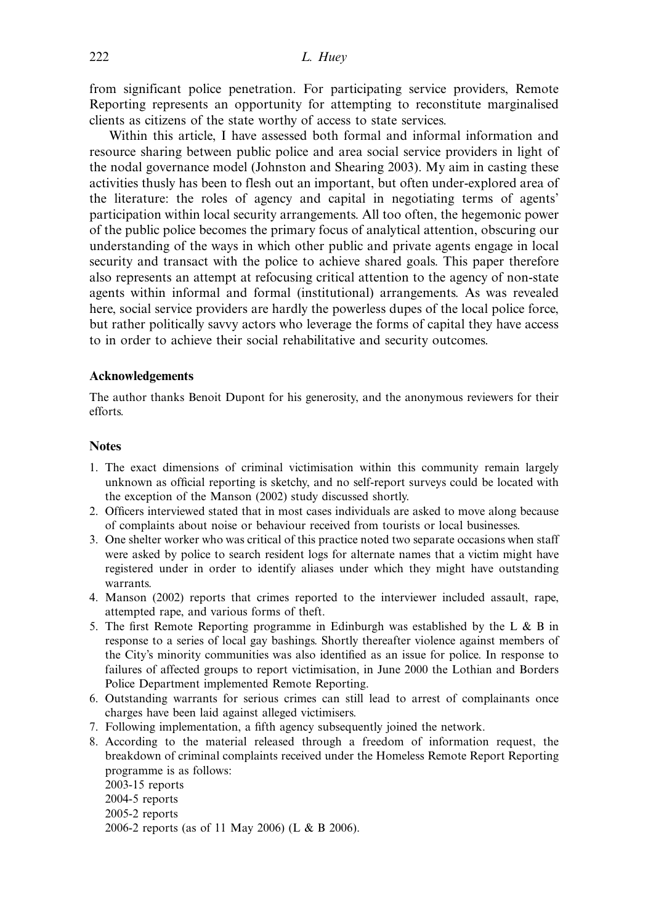from significant police penetration. For participating service providers, Remote Reporting represents an opportunity for attempting to reconstitute marginalised clients as citizens of the state worthy of access to state services.

Within this article, I have assessed both formal and informal information and resource sharing between public police and area social service providers in light of the nodal governance model (Johnston and Shearing 2003). My aim in casting these activities thusly has been to flesh out an important, but often under-explored area of the literature: the roles of agency and capital in negotiating terms of agents' participation within local security arrangements. All too often, the hegemonic power of the public police becomes the primary focus of analytical attention, obscuring our understanding of the ways in which other public and private agents engage in local security and transact with the police to achieve shared goals. This paper therefore also represents an attempt at refocusing critical attention to the agency of non-state agents within informal and formal (institutional) arrangements. As was revealed here, social service providers are hardly the powerless dupes of the local police force, but rather politically savvy actors who leverage the forms of capital they have access to in order to achieve their social rehabilitative and security outcomes.

### Acknowledgements

The author thanks Benoit Dupont for his generosity, and the anonymous reviewers for their efforts.

### **Notes**

- 1. The exact dimensions of criminal victimisation within this community remain largely unknown as official reporting is sketchy, and no self-report surveys could be located with the exception of the Manson (2002) study discussed shortly.
- 2. Officers interviewed stated that in most cases individuals are asked to move along because of complaints about noise or behaviour received from tourists or local businesses.
- 3. One shelter worker who was critical of this practice noted two separate occasions when staff were asked by police to search resident logs for alternate names that a victim might have registered under in order to identify aliases under which they might have outstanding warrants.
- 4. Manson (2002) reports that crimes reported to the interviewer included assault, rape, attempted rape, and various forms of theft.
- 5. The first Remote Reporting programme in Edinburgh was established by the L & B in response to a series of local gay bashings. Shortly thereafter violence against members of the City's minority communities was also identified as an issue for police. In response to failures of affected groups to report victimisation, in June 2000 the Lothian and Borders Police Department implemented Remote Reporting.
- 6. Outstanding warrants for serious crimes can still lead to arrest of complainants once charges have been laid against alleged victimisers.
- 7. Following implementation, a fifth agency subsequently joined the network.
- 8. According to the material released through a freedom of information request, the breakdown of criminal complaints received under the Homeless Remote Report Reporting programme is as follows:

2003-15 reports 2004-5 reports 2005-2 reports 2006-2 reports (as of 11 May 2006) (L & B 2006).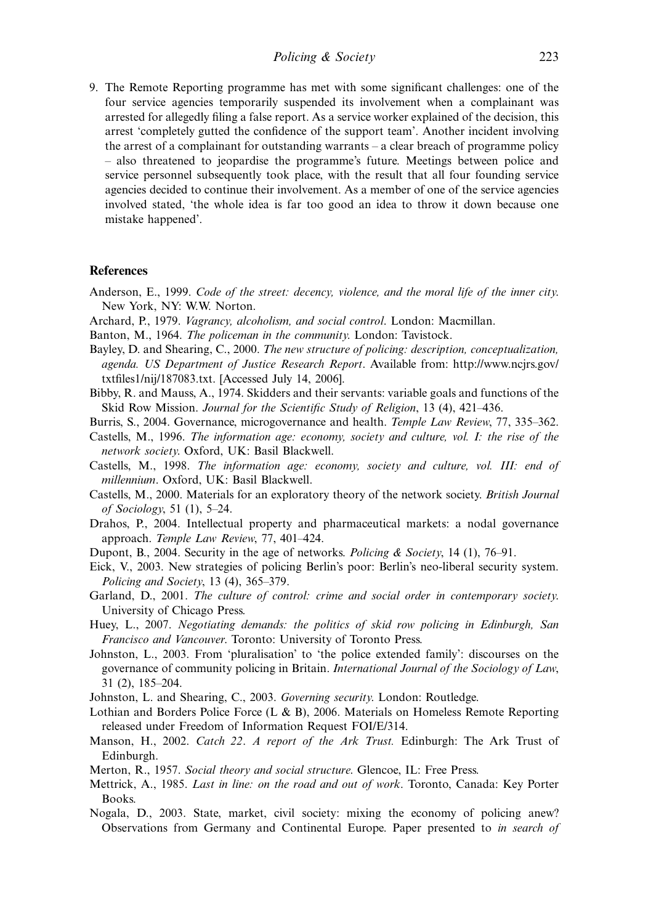9. The Remote Reporting programme has met with some significant challenges: one of the four service agencies temporarily suspended its involvement when a complainant was arrested for allegedly filing a false report. As a service worker explained of the decision, this arrest 'completely gutted the confidence of the support team'. Another incident involving the arrest of a complainant for outstanding warrants  $-a$  clear breach of programme policy - also threatened to jeopardise the programme's future. Meetings between police and service personnel subsequently took place, with the result that all four founding service agencies decided to continue their involvement. As a member of one of the service agencies involved stated, 'the whole idea is far too good an idea to throw it down because one mistake happened'.

### **References**

- Anderson, E., 1999. Code of the street: decency, violence, and the moral life of the inner city. New York, NY: W.W. Norton.
- Archard, P., 1979. Vagrancy, alcoholism, and social control. London: Macmillan.
- Banton, M., 1964. The policeman in the community. London: Tavistock.
- Bayley, D. and Shearing, C., 2000. The new structure of policing: description, conceptualization, agenda. US Department of Justice Research Report. Available from: http://www.ncjrs.gov/ txtfiles1/nij/187083.txt. [Accessed July 14, 2006].
- Bibby, R. and Mauss, A., 1974. Skidders and their servants: variable goals and functions of the Skid Row Mission. Journal for the Scientific Study of Religion, 13 (4), 421–436.
- Burris, S., 2004. Governance, microgovernance and health. *Temple Law Review*, 77, 335–362.
- Castells, M., 1996. The information age: economy, society and culture, vol. I: the rise of the network society. Oxford, UK: Basil Blackwell.
- Castells, M., 1998. The information age: economy, society and culture, vol. III: end of millennium. Oxford, UK: Basil Blackwell.
- Castells, M., 2000. Materials for an exploratory theory of the network society. British Journal of Sociology, 51  $(1)$ , 5-24.
- Drahos, P., 2004. Intellectual property and pharmaceutical markets: a nodal governance approach. Temple Law Review, 77, 401-424.
- Dupont, B., 2004. Security in the age of networks. Policing & Society, 14 (1), 76–91.
- Eick, V., 2003. New strategies of policing Berlin's poor: Berlin's neo-liberal security system. Policing and Society,  $13(4)$ ,  $365-379$ .
- Garland, D., 2001. The culture of control: crime and social order in contemporary society. University of Chicago Press.
- Huey, L., 2007. Negotiating demands: the politics of skid row policing in Edinburgh, San Francisco and Vancouver. Toronto: University of Toronto Press.
- Johnston, L., 2003. From 'pluralisation' to 'the police extended family': discourses on the governance of community policing in Britain. International Journal of the Sociology of Law, 31 (2), 185204.
- Johnston, L. and Shearing, C., 2003. Governing security. London: Routledge.
- Lothian and Borders Police Force (L & B), 2006. Materials on Homeless Remote Reporting released under Freedom of Information Request FOI/E/314.
- Manson, H., 2002. Catch 22. A report of the Ark Trust. Edinburgh: The Ark Trust of Edinburgh.
- Merton, R., 1957. Social theory and social structure. Glencoe, IL: Free Press.
- Mettrick, A., 1985. Last in line: on the road and out of work. Toronto, Canada: Key Porter Books.
- Nogala, D., 2003. State, market, civil society: mixing the economy of policing anew? Observations from Germany and Continental Europe. Paper presented to in search of